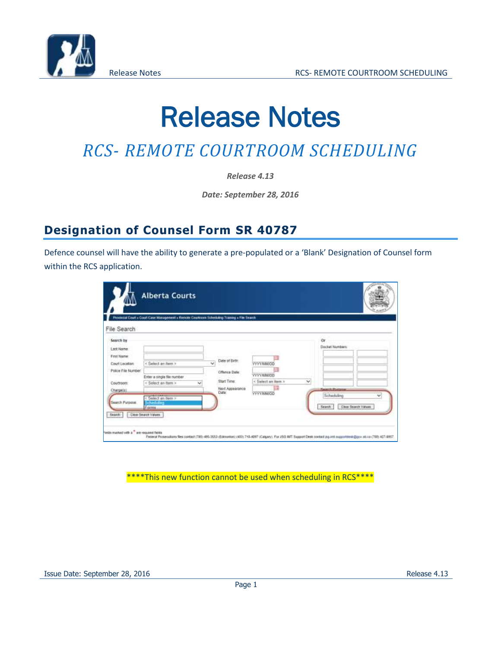

# Release Notes

## *RCS- REMOTE COURTROOM SCHEDULING*

*Release 4.13*

*Date: September 28, 2016*

### **Designation of Counsel Form SR 40787**

Defence counsel will have the ability to generate a pre-populated or a 'Blank' Designation of Counsel form within the RCS application.

|                               | Promotel Court > Court Case Management > Remote Countroon Scheduling Training > Fite Search |                                       |                    |                                        |                          |
|-------------------------------|---------------------------------------------------------------------------------------------|---------------------------------------|--------------------|----------------------------------------|--------------------------|
| File Search                   |                                                                                             |                                       |                    |                                        |                          |
| Search by<br>Last Name:       |                                                                                             |                                       |                    | 0ř<br>Docket Numbers                   |                          |
| First Name:<br>Court Location | < Select an item >                                                                          | Date of Birth:<br>W.                  | <b>YYY/MM/OD</b>   |                                        |                          |
| Police File Number            | Enter a single file number                                                                  | Offence Date:                         | YYYYMMUD           |                                        |                          |
| Courtmore:                    | < Saloct an item ><br>×                                                                     | <b>Start Time:</b><br>Next Appearance | < Select an item > | $\checkmark$<br><b>Search Portugal</b> |                          |
| Charge(a)<br>Search Purpose.  | < Select an Item ><br><b>Scheduling</b>                                                     | Date:                                 | VYYAMMOD           | Scheduling<br>Seamh                    | ŵ<br>Clear Search Values |
| Search                        | Famu.<br><b>Clear Search Values</b>                                                         |                                       |                    |                                        |                          |

\*\*\*\*This new function cannot be used when scheduling in RCS\*\*\*\*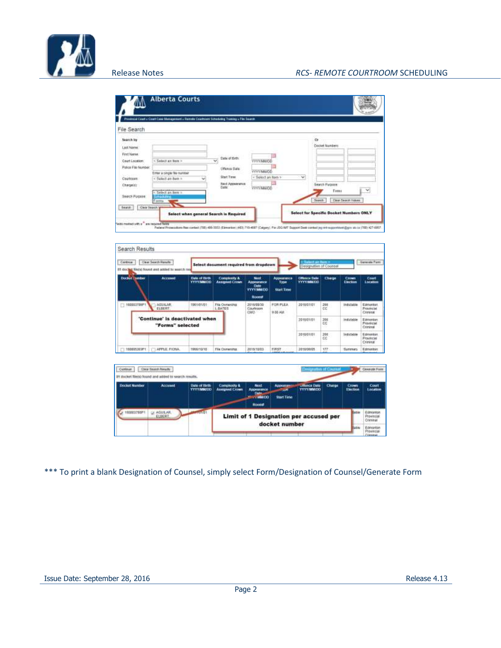

| File Search                                                                                                                         | tonnaid Court a Court Case Management a Romate Courtness Schoduleg Transay a File Search                                 |                                                                                              |                                                                              |        |                                                                                            |   |
|-------------------------------------------------------------------------------------------------------------------------------------|--------------------------------------------------------------------------------------------------------------------------|----------------------------------------------------------------------------------------------|------------------------------------------------------------------------------|--------|--------------------------------------------------------------------------------------------|---|
| Search Inv<br><b>Last Name</b><br>First Name<br>Court Location<br>Police File Number<br>Courtsborn:<br>Charge(s)<br>Search Forppea. | < Solect an firm ><br>Either a pingle fels markbeit<br>< Salect an ilum =<br>< Select an hem =<br><b>College</b><br>Form | Date of Birth<br>v.<br><b>Uffered Date</b><br>Start Tiese<br><b>Rext Appearance</b><br>Date: | <b>YYYYAMOO</b><br><b>YVY/MMKGG</b><br>< Solect an Rem ><br><b>VYYYAMKOD</b> | $\vee$ | $\alpha$<br><b>Docket Numbers</b><br>Search Purpose<br>Fema<br>Clear Search Values<br>Seem | w |

| Continue:      | Clear Search Roselle<br>81 docket Niets) found and odded to search my |                                          | Select document required from dropdown           |                                                                                |                                                | - Tiebect art farm #<br>Designation of Councel |                 |                         |                                    |
|----------------|-----------------------------------------------------------------------|------------------------------------------|--------------------------------------------------|--------------------------------------------------------------------------------|------------------------------------------------|------------------------------------------------|-----------------|-------------------------|------------------------------------|
| Docket Turnber | <b>Accuract</b>                                                       | <b>Date of Diffi</b><br><b>YYYYMMIDD</b> | <b>Complexis &amp;</b><br><b>Assigned Conver</b> | <b>Next</b><br>Approvation<br><b>Date</b><br><b>VYYY/MM/DD</b><br><b>Hoone</b> | Ардиалалса<br><b>Type</b><br><b>Start Time</b> | <b>Offence Date</b><br><b>VYYYAMUDD</b>        | Charge          | <b>Crown</b><br>Einclam | Court<br>Location                  |
| $-10000370071$ | <b>ADULAN</b><br>ELEGRIT.                                             | 1901/01/01                               | File Outserling<br>L. DATES                      | 2016/29/20<br>Courtrown<br>CMO-                                                | FOR FLEA.<br>9.50 AM.                          | 3010/07/01                                     | 368<br>CC<br>32 | Indictable              | Edmonton<br>Provincial<br>Criminal |
|                | 'Continue' is deactivated when<br>"Forms" selected                    |                                          |                                                  |                                                                                | 10 JY 1317                                     | 2018/01/01                                     | 쁞               | Indictable              | Edmonton<br>Provincial<br>Criminal |
|                |                                                                       |                                          |                                                  |                                                                                |                                                | 2010/01/01                                     | 206<br>CC       | Indictable              | Edmonton<br>Provincial<br>Criminal |
| 10003533391    | TAPPLE FIONA                                                          | 1006/10/10                               | File Outstates                                   | 2010/10/03                                                                     | FIRST<br>Linchard Hubbard                      | 2010/00/05                                     | 177             | Samman                  | Edmonton                           |

| College              | Clear Search Results<br>31 docket fileris) found and added to search results. |                                                                  |                                                         |                                                                               |                                | <b>Compyright of Courses</b>              |               |                          |                          |
|----------------------|-------------------------------------------------------------------------------|------------------------------------------------------------------|---------------------------------------------------------|-------------------------------------------------------------------------------|--------------------------------|-------------------------------------------|---------------|--------------------------|--------------------------|
| <b>Docket Number</b> | <b>Accused</b>                                                                | Date of Birth<br><b>YYYYMMXDD</b><br><b>Control Prints State</b> | Complexity &<br><b>Annighed Crown</b>                   | <b>NicoL</b><br>Appearance<br><b>Data</b><br><b>COMMERCIAL</b><br><b>Home</b> | Abbeldram<br><b>Start Time</b> | <b>Ufferror Date</b><br><b>VYYY/MM/DO</b> | <b>Chirgs</b> | <b>Crown</b><br>Election | <b>Court</b><br>Location |
| 0003768P1            | AGUZAR.<br><b>ELBER?</b>                                                      | <b>Julie</b>                                                     | Limit of 1 Designation per accused per<br>docket number |                                                                               |                                |                                           |               | Está                     | Criminal                 |
|                      |                                                                               |                                                                  |                                                         |                                                                               |                                |                                           |               | <b>Buto</b>              | Edminto                  |

\*\*\* To print a blank Designation of Counsel, simply select Form/Designation of Counsel/Generate Form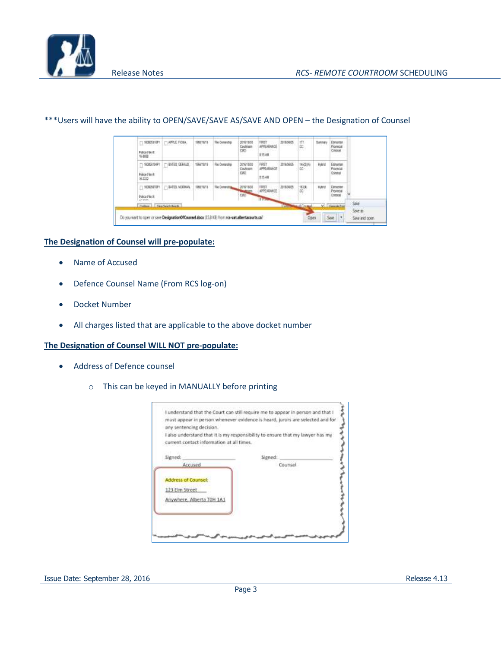

#### $-1.9000000001$ [] APPLE FIONA 1951613 The Date IBST<br>Affealance in<br>Et Edmanter<br>Provincial Falce File #<br>16.859 815 AM T BATES GERALD  $\Box$  9005104P1 there's Fix Ourses 2016/18/02 2016/06/05 160M Hand APPEARANCE Coultrain torinia Felice File it.<br>S-2222 CMD Criminal 8154M  $\Box$  ROWNEDFT  $\Box$  EATER NORMAL пилата The Ox 20181803 2010/06/05  $^{100}_{-00}$ TRST<br>APPEARANCE Hybrut Edman Police File III Sove as Do you want to open or save DesignationOfCounsel.docx (15.8 KB) from res-wat.albertacourts.ca? Save | + Open Save and open

#### \*\*\*Users will have the ability to OPEN/SAVE/SAVE AS/SAVE AND OPEN – the Designation of Counsel

#### **The Designation of Counsel will pre-populate:**

- Name of Accused
- Defence Counsel Name (From RCS log-on)
- Docket Number
- All charges listed that are applicable to the above docket number

#### **The Designation of Counsel WILL NOT pre-populate:**

- Address of Defence counsel
	- o This can be keyed in MANUALLY before printing

| any sentencing decision.<br>I also understand that it is my responsibility to ensure that my lawyer has my<br>current contact information at all times. |         |  |
|---------------------------------------------------------------------------------------------------------------------------------------------------------|---------|--|
|                                                                                                                                                         |         |  |
| Signed:                                                                                                                                                 | Siened  |  |
| Accused                                                                                                                                                 | Counsel |  |
| <b>Address of Counsel:</b>                                                                                                                              |         |  |
| 123 Eim Street                                                                                                                                          |         |  |
| Anywhere, Alberta TOH 1A1                                                                                                                               |         |  |
|                                                                                                                                                         |         |  |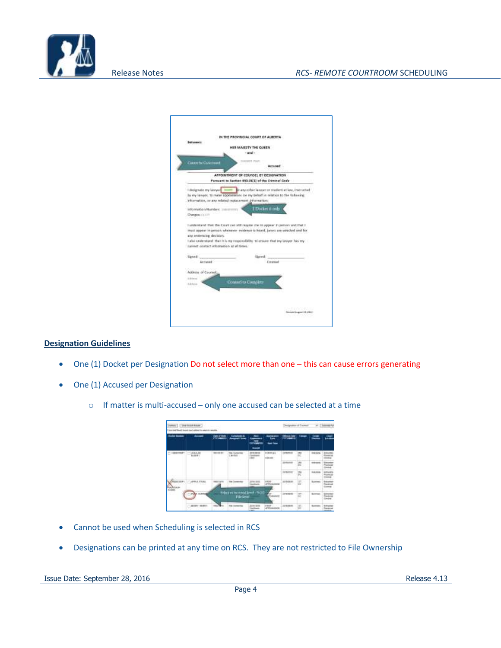

| <b>Betspeart:</b>                        |                                                                                                                                     |  |  |  |
|------------------------------------------|-------------------------------------------------------------------------------------------------------------------------------------|--|--|--|
|                                          | HER MARSTY THE QUEEN.                                                                                                               |  |  |  |
|                                          | $-100 -$                                                                                                                            |  |  |  |
| <b>Cannelbe Calls</b>                    | <b>SAMIE IWI</b>                                                                                                                    |  |  |  |
|                                          | Accused                                                                                                                             |  |  |  |
|                                          | APPOINTMENT OF COUNSEL BY DESIGNATION                                                                                               |  |  |  |
|                                          | Furnuant to Section 650.01[1] of the Criminal Code                                                                                  |  |  |  |
|                                          |                                                                                                                                     |  |  |  |
| Librigatie my lowyer                     | in any other lawyer or student at law, instructed                                                                                   |  |  |  |
|                                          | by my lawyer, to make appearances on my behalf in relation to the following<br>information, or any related replacement information: |  |  |  |
|                                          |                                                                                                                                     |  |  |  |
| Information Number: 20                   | EDocket # pub                                                                                                                       |  |  |  |
| <b>Charges:</b> (1.11)                   |                                                                                                                                     |  |  |  |
|                                          | I understand that the Court can still require me to appear in person and that I                                                     |  |  |  |
|                                          | must aspect in person whenever evidence is hourd, keyrs are selected and for                                                        |  |  |  |
| any sectorizing decision:                |                                                                                                                                     |  |  |  |
|                                          | I also understand. that it is me requestibility. In ensure that my lawyer has my                                                    |  |  |  |
| camett contact information at all times. |                                                                                                                                     |  |  |  |
|                                          |                                                                                                                                     |  |  |  |
| Signed)<br>Accused                       | ioved<br>Pergerant                                                                                                                  |  |  |  |
|                                          |                                                                                                                                     |  |  |  |
| Address of Courses                       |                                                                                                                                     |  |  |  |
| Editorial                                |                                                                                                                                     |  |  |  |
| <b>Editoria</b>                          | <b>Council to Complete</b>                                                                                                          |  |  |  |
|                                          |                                                                                                                                     |  |  |  |
|                                          |                                                                                                                                     |  |  |  |
|                                          |                                                                                                                                     |  |  |  |

#### **Designation Guidelines**

- One (1) Docket per Designation Do not select more than one this can cause errors generating
- One (1) Accused per Designation
	- o If matter is multi-accused only one accused can be selected at a time



- Cannot be used when Scheduling is selected in RCS
- Designations can be printed at any time on RCS. They are not restricted to File Ownership